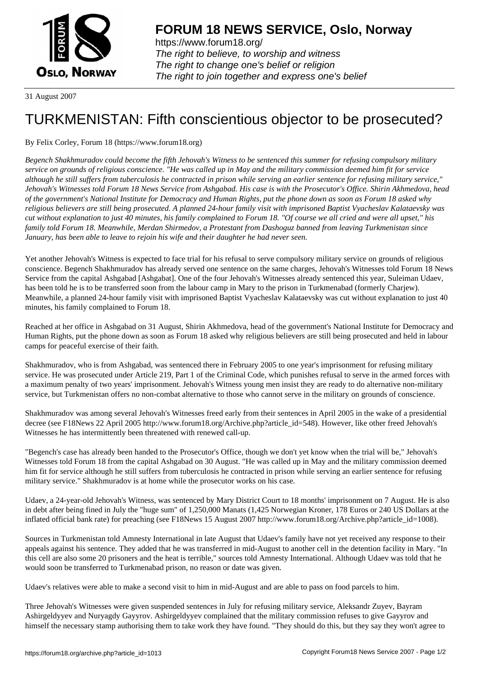

https://www.forum18.org/ The right to believe, to worship and witness The right to change one's belief or religion [The right to join together a](https://www.forum18.org/)nd express one's belief

31 August 2007

## [TURKMENISTA](https://www.forum18.org)N: Fifth conscientious objector to be prosecuted?

## By Felix Corley, Forum 18 (https://www.forum18.org)

*Begench Shakhmuradov could become the fifth Jehovah's Witness to be sentenced this summer for refusing compulsory military service on grounds of religious conscience. "He was called up in May and the military commission deemed him fit for service although he still suffers from tuberculosis he contracted in prison while serving an earlier sentence for refusing military service," Jehovah's Witnesses told Forum 18 News Service from Ashgabad. His case is with the Prosecutor's Office. Shirin Akhmedova, head of the government's National Institute for Democracy and Human Rights, put the phone down as soon as Forum 18 asked why religious believers are still being prosecuted. A planned 24-hour family visit with imprisoned Baptist Vyacheslav Kalataevsky was cut without explanation to just 40 minutes, his family complained to Forum 18. "Of course we all cried and were all upset," his family told Forum 18. Meanwhile, Merdan Shirmedov, a Protestant from Dashoguz banned from leaving Turkmenistan since January, has been able to leave to rejoin his wife and their daughter he had never seen.*

Yet another Jehovah's Witness is expected to face trial for his refusal to serve compulsory military service on grounds of religious conscience. Begench Shakhmuradov has already served one sentence on the same charges, Jehovah's Witnesses told Forum 18 News Service from the capital Ashgabad [Ashgabat]. One of the four Jehovah's Witnesses already sentenced this year, Suleiman Udaev, has been told he is to be transferred soon from the labour camp in Mary to the prison in Turkmenabad (formerly Charjew). Meanwhile, a planned 24-hour family visit with imprisoned Baptist Vyacheslav Kalataevsky was cut without explanation to just 40 minutes, his family complained to Forum 18.

Reached at her office in Ashgabad on 31 August, Shirin Akhmedova, head of the government's National Institute for Democracy and Human Rights, put the phone down as soon as Forum 18 asked why religious believers are still being prosecuted and held in labour camps for peaceful exercise of their faith.

Shakhmuradov, who is from Ashgabad, was sentenced there in February 2005 to one year's imprisonment for refusing military service. He was prosecuted under Article 219, Part 1 of the Criminal Code, which punishes refusal to serve in the armed forces with a maximum penalty of two years' imprisonment. Jehovah's Witness young men insist they are ready to do alternative non-military service, but Turkmenistan offers no non-combat alternative to those who cannot serve in the military on grounds of conscience.

Shakhmuradov was among several Jehovah's Witnesses freed early from their sentences in April 2005 in the wake of a presidential decree (see F18News 22 April 2005 http://www.forum18.org/Archive.php?article\_id=548). However, like other freed Jehovah's Witnesses he has intermittently been threatened with renewed call-up.

"Begench's case has already been handed to the Prosecutor's Office, though we don't yet know when the trial will be," Jehovah's Witnesses told Forum 18 from the capital Ashgabad on 30 August. "He was called up in May and the military commission deemed him fit for service although he still suffers from tuberculosis he contracted in prison while serving an earlier sentence for refusing military service." Shakhmuradov is at home while the prosecutor works on his case.

Udaev, a 24-year-old Jehovah's Witness, was sentenced by Mary District Court to 18 months' imprisonment on 7 August. He is also in debt after being fined in July the "huge sum" of 1,250,000 Manats (1,425 Norwegian Kroner, 178 Euros or 240 US Dollars at the inflated official bank rate) for preaching (see F18News 15 August 2007 http://www.forum18.org/Archive.php?article\_id=1008).

Sources in Turkmenistan told Amnesty International in late August that Udaev's family have not yet received any response to their appeals against his sentence. They added that he was transferred in mid-August to another cell in the detention facility in Mary. "In this cell are also some 20 prisoners and the heat is terrible," sources told Amnesty International. Although Udaev was told that he would soon be transferred to Turkmenabad prison, no reason or date was given.

Udaev's relatives were able to make a second visit to him in mid-August and are able to pass on food parcels to him.

Three Jehovah's Witnesses were given suspended sentences in July for refusing military service, Aleksandr Zuyev, Bayram Ashirgeldyyev and Nuryagdy Gayyrov. Ashirgeldyyev complained that the military commission refuses to give Gayyrov and himself the necessary stamp authorising them to take work they have found. "They should do this, but they say they won't agree to